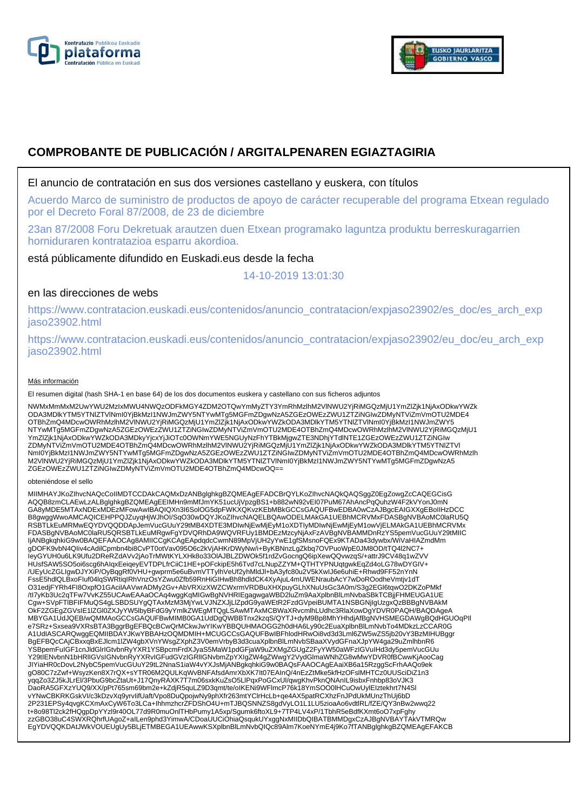



# **COMPROBANTE DE PUBLICACIÓN / ARGITALPENAREN EGIAZTAGIRIA**

### El anuncio de contratación en sus dos versiones castellano y euskera, con títulos

Acuerdo Marco de suministro de productos de apoyo de carácter recuperable del programa Etxean regulado por el Decreto Foral 87/2008, de 23 de diciembre

23an 87/2008 Foru Dekretuak arautzen duen Etxean programako laguntza produktu berreskuragarrien horniduraren kontratazioa esparru akordioa.

está públicamente difundido en Euskadi.eus desde la fecha

14-10-2019 13:01:30

## en las direcciones de webs

https://www.contratacion.euskadi.eus/contenidos/anuncio\_contratacion/expjaso23902/es\_doc/es\_arch\_exp jaso23902.html

https://www.contratacion.euskadi.eus/contenidos/anuncio\_contratacion/expjaso23902/eu\_doc/eu\_arch\_exp jaso23902.html

#### Más información

El resumen digital (hash SHA-1 en base 64) de los dos documentos euskera y castellano con sus ficheros adjuntos

NWMxMmMxM2UwYWU2MzIxMWU4NWQzODFkMGY4ZDM2OTQwYmMyZTY3YmRhMzlhM2VlNWU2YjRiMGQzMjU1YmZlZjk1NjAxODkwYWZk ODA3MDlkYTM5YTNlZTVlNmI0YjBkMzI1NWJmZWY5NTYwMTg5MGFmZDgwNzA5ZGEzOWEzZWU1ZTZiNGIwZDMyNTViZmVmOTU2MDE4 OTBhZmQ4MDcwOWRhMzlhM2VlNWU2YjRiMGQzMjU1YmZlZjk1NjAxODkwYWZkODA3MDlkYTM5YTNlZTVlNml0YjBkMzI1NWJmZWY5<br>NTYwMTg5MGFmZDgwNzA5ZGEzOWEzZWU1ZTZiNGIwZDMyNTViZmVmOTU2MDE4OTBhZmQ4MDcwOWRhMzlhM2VlNWU2YjRiMGQzMjU1 YmZlZjk1NjAxODkwYWZkODA3MDkyYjcxYjJiOTc0OWNmYWE5NGUyNzFhYTBkMjgwZTE3NDhjYTdlNTE1ZGEzOWEzZWU1ZTZiNGIw ZDMyNTViZmVmOTU2MDE4OTBhZmQ4MDcwOWRhMzlhM2VlNWU2YjRiMGQzMjU1YmZlZjk1NjAxODkwYWZkODA3MDlkYTM5YTNlZTVl NmI0YjBkMzI1NWJmZWY5NTYwMTg5MGFmZDgwNzA5ZGEzOWEzZWU1ZTZiNGIwZDMyNTViZmVmOTU2MDE4OTBhZmQ4MDcwOWRhMzlh M2VlNWU2YjRiMGQzMjU1YmZlZjk1NjAxODkwYWZkODA3MDlkYTM5YTNlZTVlNmI0YjBkMzI1NWJmZWY5NTYwMTg5MGFmZDgwNzA5 ZGEzOWEzZWU1ZTZiNGIwZDMyNTViZmVmOTU2MDE4OTBhZmQ4MDcwOQ==

#### obteniéndose el sello

MIIMHAYJKoZIhvcNAQcCoIIMDTCCDAkCAQMxDzANBglghkgBZQMEAgEFADCBrQYLKoZIhvcNAQkQAQSggZ0EgZowgZcCAQEGCisG AQQB8zmCLAEwLzALBglghkgBZQMEAgEEIMHn9mMfJmYK51ucUjVpzgBS1+b882wN92vEI07PuM67AhAncPqQuhzW4F2kVYonJ0mN GA8yMDE5MTAxNDExMDEzMFowAwIBAQIQXn3I6SolOG5dpFWKXQKvzKEbMBkGCCsGAQUFBwEDBA0wCzAJBgcEAIGXXgEBoIIHzDCC B8gwggWwoAMCAQICEHPPQJZuyqHjWJhOI/SqO30wDQYJKoZIhvcNAQELBQAwODELMAkGA1UEBhMCRVMxFDASBgNVBAoMC0laRU5Q RSBTLkEuMRMwEQYDVQQDDApJemVucGUuY29tMB4XDTE3MDIwNjEwMjEyM1oXDTIyMDIwNjEwMjEyM1owVjELMAkGA1UEBhMCRVMx<br>FDASBgNVBAoMC0laRU5QRSBTLkEuMRgwFgYDVQRhDA9WQVRFUy1BMDEzMzcyNjAxFzAVBgNVBAMMDnRzYS5pemVucGUuY29tMIIC IjANBgkqhkiG9w0BAQEFAAOCAg8AMIICCgKCAgEApdqdcCwmN89MpVjUH2yYwE1gfSMsnoFQEx9KTADa43dywbx/WiVaHIAZmdMm gDOFK9vbN4QIiv4cAdilCpmbn4bi8CvPT0otVav095O6c2kVjAHKrDWyNw/i+ByKBNnzLgZkbq7OVPuoWpE0JM8OD/tTQ4l2NC7+ IeyGYUH0u6LK9Ufu2DReRZdAVv2jAoTrMWtKYLXHk8o33OlAJBLZDWOk5f1rdZvGocngQ6ipXewQQvwzqS/+attrJ9CV48q1wZVV HUsfSAW5SO5oi6scg6hAIqxEeiqeyEVTDPLfrCiiC1HE+pOFckipE5h6Tvd7cLNupZZYM+QTHTYPNUqtgwkEqZd4oLG78wDYGIV+ /UEyUcZGLIgwDJYXiP/OyBqgRf0VHU+gwprm5e6uBvmVTTylhVeUf2yhMldJl+bA3yfc80u2V5kXwIJ6e6uhiE+Rhwd9FF52nYnN FssE5hdlQLBxoFIuf04lqSWRtiqIRhVnzOsYZwu0Zfb59RnHiGIHwBh8hdldCK4XyAjuL4mUWENraubAcY7wDoROodheVmtjv1dT O31edjFYRh4FI8OxpfO1GAcilAAVwrADMy2Gv+AbVRXizXWZCWxrmVRDBuXHXpuyGLhXNuUsGc3A0m/S3g2EGl6tqwO2DKZoPMkf<br>/tl7yKb3Uc2qTFw7VvKZ55UCAwEAAaOCAq4wggKqMlGwBgNVHRIEgagwgaWBD2luZm9AaXplbnBlLmNvbaSBkTCBjjFHMEUGA1UE Cgw+SVpFTlBFIFMuQS4gLSBDSUYgQTAxMzM3MjYwLVJNZXJjLlZpdG9yaWEtR2FzdGVpeiBUMTA1NSBGNjIgUzgxQzBBBgNVBAkM OkF2ZGEgZGVsIE1lZGl0ZXJyYW5lbyBFdG9yYmlkZWEgMTQgLSAwMTAxMCBWaXRvcmlhLUdhc3RlaXowDgYDVR0PAQH/BAQDAgeA MBYGA1UdJQEB/wQMMAoGCCsGAQUFBwMIMB0GA1UdDgQWBBTnx2kzqS/QYTJ+dyM9Bp8MhYHhdjAfBgNVHSMEGDAWgBQdHGUOqPIl e7SRz+Sxsea9VXRsBTA3BggrBgEFBQcBCwQrMCkwJwYIKwYBBQUHMAOGG2h0dHA6Ly90c2EuaXplbnBlLmNvbTo4MDkzLzCCAR0G A1UdIASCARQwggEQMIIBDAYJKwYBBAHzOQMDMIH+MCUGCCsGAQUFBwIBFhlodHRwOi8vd3d3Lml6ZW5wZS5jb20vY3BzMIHUBggr BgEFBQcCAjCBxxqBxEJlcm1lZW4gbXVnYWsgZXphZ3V0emVrbyB3d3cuaXplbnBlLmNvbSBaaXVydGFnaXJpYW4ga29uZmlhbnR6 YSBpemFuIGF1cnJldGlrIGtvbnRyYXR1YSBpcmFrdXJyaS5MaW1pdGFjaW9uZXMgZGUgZ2FyYW50aWFzIGVuIHd3dy5pemVucGUu<br>Y29tIENvbnN1bHRIIGVsIGNvbnRyYXRvIGFudGVzIGRIIGNvbmZpYXIgZW4gZWwgY2VydGlmaWNhZG8wMwYDVR0fBCwwKjAooCag JIYiaHR0cDovL2NybC5pemVucGUuY29tL2NnaS1iaW4vYXJsMjANBgkqhkiG9w0BAQsFAAOCAgEAaiXB6a15RzggScFrhAAQo9ek gO80C7zZwf+WsyzKen8X7rQX+sYTR06M2QULKqWvBNFAfsdAmrXbXK7It07EAInQ/4nEzZtMke5kfHzOFslMHTCz0UUSciDiZ1n3 yqqZo3ZJ5kJLrEl/3PbuG9bcZtaUt+J17QnyRAXK7T7m06sxkKuZsO5LlPqxPoGCxUl/qwgKhvPknQNAnIL9isbxFnhbp83oVJK3<br>DaoRA5GFXzYUQ9/XX/pPt765sm69bm2e+kZdjR5quLZ9D3qmt/te/oIKENi9WFlmcP76k18YmSOO0lHCuOwUylEIztekhrt7N4Sl vYNwCBKRKGskVI/c3kDzvXq9yrvIifUaft/Vpo8DuQpojwNy9phXfr263mtYClrHcLb+qe4AX5patRCXhzFnJPdUkMUnzThUj6bD 2P231EPSy4qvgKCXmAxCyW6To3LCa+IhhmzhcrZFDShO4U+mTJBQSNNZS8gdVyLO1L1LU5zioaAo6vdtlRL/fZE/QY3nBw2wwq22<br>t+8o98Tl2ck2fHQgpDpYYzl9r40OL77d9R0muOnlTHbPumy1A5xp/Sgumk6ftoXL9+7TP4LV4xP/1TbhR5eBdfKXmt6oO7xpFghy<br>zzGBO38uC4SWXRQhrfUA EgYDVQQKDAtJWkVOUEUgUy5BLjETMBEGA1UEAwwKSXplbnBlLmNvbQIQc89Alm7KoeNYmE4j9Ko7fTANBglghkgBZQMEAgEFAKCB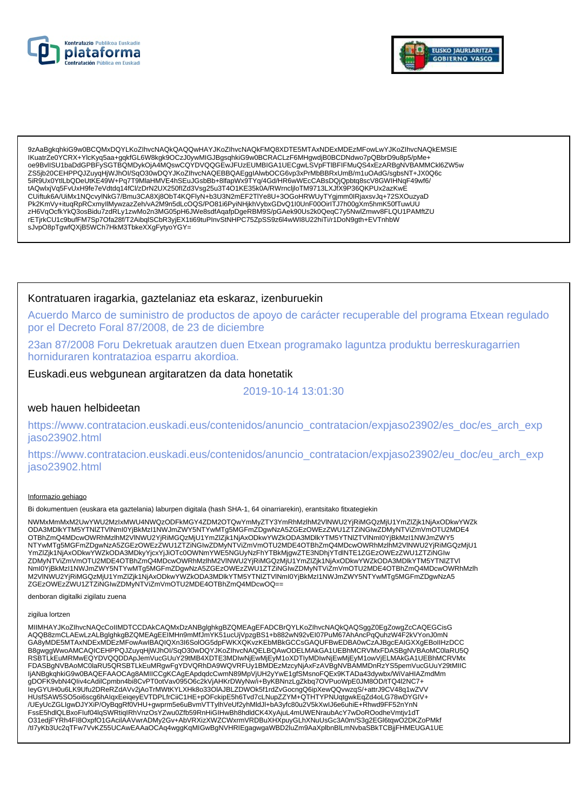



9zAaBgkqhkiG9w0BCQMxDQYLKoZlhvcNAQkQAQQwHAYJKoZlhvcNAQkFMQ8XDTE5MTAxNDExMDEzMFowLwYJKoZlhvcNAQkEMSIE IKuatrZe0YCRX+YlcKyq5aa+qqkfGL6W8kqk9OCzJ0ywMIGJBqsqhkiG9w0BCRACLzF6MHqwdjB0BCDNdwo7pQBbrD9u8p5/pMe+ 0e9BvlISU1baDdGPBFySGTBQMDykOjA4MQswCQYDVQQGEwJFUzEUMBIGA1UECgwLSVpFTIBFIFMuQS4xEzARBgNVBAMMCkl6ZW5w ZS5jb20CEHPPQJZuyqHjWJhOl/SqO30wDQYJKoZlhvcNAQEBBQAEgglAlwbOCG6vp3xPrMbBBRxUmB/m1uOAdG/sgbsNT+JX0Q6c 5iR9Ux0YtlLbQDeUtKE49W+Pq7T9MlaHMVE4hSEuJGsbBb+8lfapWx9TYq/4Gd/HR6wWEcCABsDQjQpbtq8scV8GWIHNqF49wf6/ tAQwlxjVq5FvUxH9fe7eVdtdq14fCl/zDrN2UX250fIZd3Vsg25u3T4O1KE35k0A/RWrncljIoTM9713LXJfX9P36QKPUx2azKwE CUiftuk6A/UiMx1NQcvylNkG7/Bmu3CA8Xj8ObT4KQFlyN+b3U3N2mEF2TlYe8U+3OGoHRWUyTYgjmm0lRjaxsvJq+72SXOuzyaD Pk2KmVy+ituqRpRCxmyllMywzazZeh/vA2M9n5dLcOQS/PO81i6PyiNHjkhVybxGDvQ1I0UnF00OirlTJ7h00gXm5hmK50fTuwUU 1 K21ii y Filial (ACCO) A MACZAR A MACZAR W CZAR W PODRODNOSTANE W WORDY W PODRODNOSTAL W PRODUSZKOU SZKOU SZKOU MACZAR NA MACZAR Z MACZAR NA MACZAR NA MACZAR NA MACZAR NA MACZAR NA MACZAR NA MACZAR NA MACZAR NA MACZAR NA sJvpO8pTgwfQXjB5WCh7HkM3TbkeXXgFytyoYGY=

### Kontratuaren iragarkia, gaztelaniaz eta eskaraz, izenburuekin

Acuerdo Marco de suministro de productos de apoyo de carácter recuperable del programa Etxean regulado por el Decreto Foral 87/2008, de 23 de diciembre

23an 87/2008 Foru Dekretuak arautzen duen Etxean programako laguntza produktu berreskuragarrien horniduraren kontratazioa esparru akordioa.

### Euskadi.eus webgunean argitaratzen da data honetatik

2019-10-14 13:01:30

#### web hauen helbideetan

https://www.contratacion.euskadi.eus/contenidos/anuncio\_contratacion/expjaso23902/es\_doc/es\_arch\_exp jaso23902.html

https://www.contratacion.euskadi.eus/contenidos/anuncio contratacion/expjaso23902/eu doc/eu arch exp jaso23902.html

#### Informazio gehiago

Bi dokumentuen (euskara eta gaztelania) laburpen digitala (hash SHA-1, 64 oinarriarekin), erantsitako fitxategiekin

NWMxMmMxM2UwYWU2MzIxMWU4NWQzODFkMGY4ZDM2OTQwYmMyZTY3YmRhMzIhM2VINWU2YjRiMGQzMjU1YmZlZjk1NjAxODkwYWZk ODA3MDlkYTM5YTNIZTVINml0YjBkMzI1NWJmZWY5NTYwMTq5MGFmZDqwNzA5ZGEzOWEzZWU1ZTZiNGIwZDMyNTViZmVmOTU2MDE4 OTBhZmQ4MDcwOWRhMzIhM2VINWU2YjRiMGQzMjU1YmZlZjk1NjAxODkwYWZkODA3MDlkYTM5YTNlZTVINml0YjBkMzl1NWJmZWY5 NTYwMTg5MGFmZDgwNzA5ZGEzOWEzZWU1ZTZINGIwZDMyNTViZmVmOTU2MDE4OTBhZmQ4MDcwOWRhMzInM2VINWU2YjRiMGQzMjU1 YmZlZjk1NjAxODkwYWZkODA3MDkyYjcxYjJiOTc0OWNmYWE5NGUyNzFhYTBkMjgwZTE3NDhjYTdlNTE1ZGEzOWEzZWU1ZTZiNGIw ZDMyNTViZmVmOTU2MDE4OTBhZmQ4MDcwOWRhMzIhM2VINWU2YjRiMGQzMjU1YmZIZjk1NjAxODkwYWZkODA3MDlkYTM5YTNIZTVI Nml0YjBkMzI1NWJmZWY5NTYwMTg5MGFmZDgwNzA5ZGEzOWEzZWU1ZTZiNGlwZDMyNTViZmVmOTU2MDE4OTBhZmQ4MDcwOWRhMzlh<br>M2VINWU2YjRiMGQzMjU1YmZlZjk1NjAxODkwYWZkODA3MDlkYTM5YTNlZTVlNml0YjBkMzI1NWJmZWY5NTYwMTg5MGFmZDgwNzA5 ZGEzOWEzZWU1ZTZiNGIwZDMyNTViZmVmOTU2MDE4OTBhZmQ4MDcwOQ==

denboran digitalki zigilatu zuena

#### zigilua lortzen

MIIMHAYJKoZIhvcNAQcCoIIMDTCCDAkCAQMxDzANBglghkgBZQMEAgEFADCBrQYLKoZIhvcNAQkQAQSggZ0EgZowgZcCAQEGCisG AQQB8zmCLAEwLzALBglghkgBZQMEAgEEIMHn9mMfJmYK51ucUjVpzgBS1+b882wN92vEl07PuM67AhAncPqQuhzW4F2kVYonJ0mN GA8yMDE5MTAxNDExMDEzMFowAwIBAQIQXn3I6SoIOG5dpFWKXQKvzKEbMBkGCCsGAQUFBwEDBA0wCzAJBgcEAIGXXgEBoIIHzDCC B8gwggWwoAMCAQICEHPPQJZuyqHjWJhOI/SqO30wDQYJKoZIhvcNAQELBQAwODELMAkGA1UEBhMCRVMxFDASBgNVBAoMC0laRU5Q RSBTLKEuMRMwEQYDVQQDDApJemVucGUuY29tMB4XDTE3MDlwNjEwMjEyM1oXDTIyMDlwNjEwMjEyM1owVjELMAkGA1UEBhMCRVMx<br>FDASBgNVBAoMC0laRU5QRSBTLkEuMRgwFgYDVQRhDA9WQVRFUy1BMDEzMzcyNjAxFzAVBgNVBAMMDnRzYS5pemVucGUuY29tMIIC ljANBgkqhkiG9w0BAQEFAAOCAg8AMIICCgKCAgEApdqdcCwmN89MpVjUH2yYwE1gfSMsnoFQEx9KTADa43dywbx/WiVaHIAZmdMm<br>gDOFK9vbN4Qliv4cAdilCpmbn4bi8CvPT0otVav095O6c2kVjAHKrDWyNw/i+ByKBNnzLgZkbq7OVPuoWpE0JM8OD/tTQ4l2NC7+ leyGYUH0u6LK9Ufu2DReRZdAVv2jAoTrMWtKYLXHk8o33OIAJBLZDWOk5f1rdZvGocngQ6ipXewQQvwzqS/+attrJ9CV48q1wZVV HUsfSAW5SO5oi6scg6hAlqxEeiqeyEVTDPLfrCiiC1HE+pOFckipE5h6Tvd7cLNupZZYM+QTHTYPNUqtgwkEqZd4oLG78wDYGIV+ /UEyUcZGLIgwDJYXiP/OyBqqRf0VHU+gwprm5e6uBvmVTTylhVeUf2yhMldJl+bA3yfc80u2V5kXwIJ6e6uhiE+Rhwd9FF52nYnN FssE5hdlQLBxoFluf04lqSWRtiqIRhVnzOsYZwu0Zfb59RnHiGIHwBh8hdldCK4XyAjuL4mUWENraubAcY7wDoROodheVmtjv1dT O31edjFYRh4Fl8OxpfO1GAcilAAVwrADMy2Gv+AbVRXizXWZCWxrmVRDBuXHXpuyGLhXNuUsGc3A0m/S3g2EGl6tqwO2DKZoPMkf /tl7yKb3Uc2qTFw7VvKZ55UCAwEAAaOCAq4wggKqMIGwBgNVHRIEgagwgaWBD2IuZm9AaXplbnBlLmNvbaSBkTCBjjFHMEUGA1UE